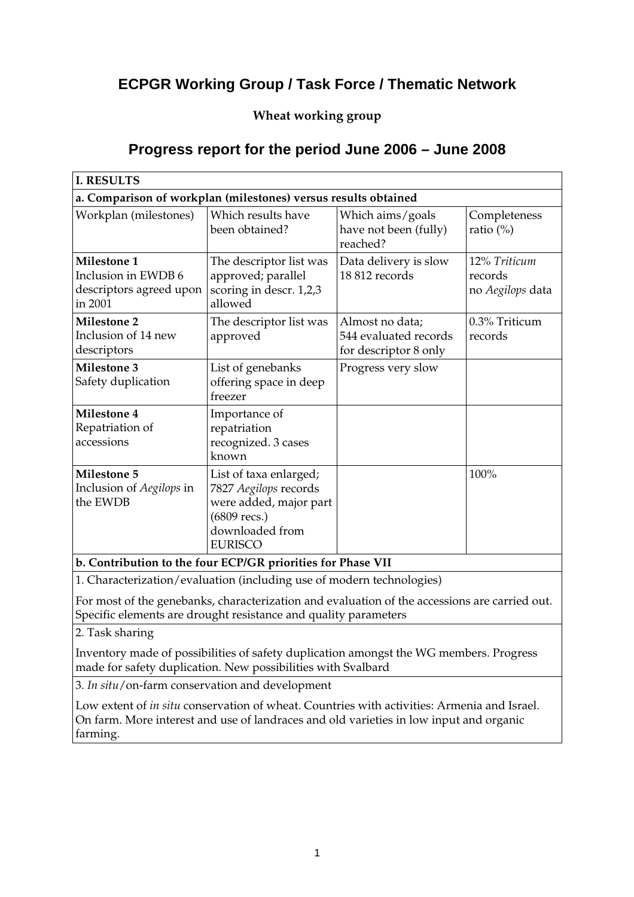# **ECPGR Working Group / Task Force / Thematic Network**

### **Wheat working group**

## **Progress report for the period June 2006 – June 2008**

| <b>I. RESULTS</b>                                                               |                                                                                                                                |                                                                   |                                             |
|---------------------------------------------------------------------------------|--------------------------------------------------------------------------------------------------------------------------------|-------------------------------------------------------------------|---------------------------------------------|
| a. Comparison of workplan (milestones) versus results obtained                  |                                                                                                                                |                                                                   |                                             |
| Workplan (milestones)                                                           | Which results have<br>been obtained?                                                                                           | Which aims/goals<br>have not been (fully)<br>reached?             | Completeness<br>ratio $(\%)$                |
| <b>Milestone 1</b><br>Inclusion in EWDB 6<br>descriptors agreed upon<br>in 2001 | The descriptor list was<br>approved; parallel<br>scoring in descr. 1,2,3<br>allowed                                            | Data delivery is slow<br>18 812 records                           | 12% Triticum<br>records<br>no Aegilops data |
| <b>Milestone 2</b><br>Inclusion of 14 new<br>descriptors                        | The descriptor list was<br>approved                                                                                            | Almost no data;<br>544 evaluated records<br>for descriptor 8 only | 0.3% Triticum<br>records                    |
| <b>Milestone 3</b><br>Safety duplication                                        | List of genebanks<br>offering space in deep<br>freezer                                                                         | Progress very slow                                                |                                             |
| <b>Milestone 4</b><br>Repatriation of<br>accessions                             | Importance of<br>repatriation<br>recognized. 3 cases<br>known                                                                  |                                                                   |                                             |
| <b>Milestone 5</b><br>Inclusion of Aegilops in<br>the EWDB                      | List of taxa enlarged;<br>7827 Aegilops records<br>were added, major part<br>(6809 recs.)<br>downloaded from<br><b>EURISCO</b> |                                                                   | 100%                                        |

**b. Contribution to the four ECP/GR priorities for Phase VII** 

1. Characterization/evaluation (including use of modern technologies)

For most of the genebanks, characterization and evaluation of the accessions are carried out. Specific elements are drought resistance and quality parameters

2. Task sharing

Inventory made of possibilities of safety duplication amongst the WG members. Progress made for safety duplication. New possibilities with Svalbard

3. *In situ*/on-farm conservation and development

Low extent of *in situ* conservation of wheat. Countries with activities: Armenia and Israel. On farm. More interest and use of landraces and old varieties in low input and organic farming.